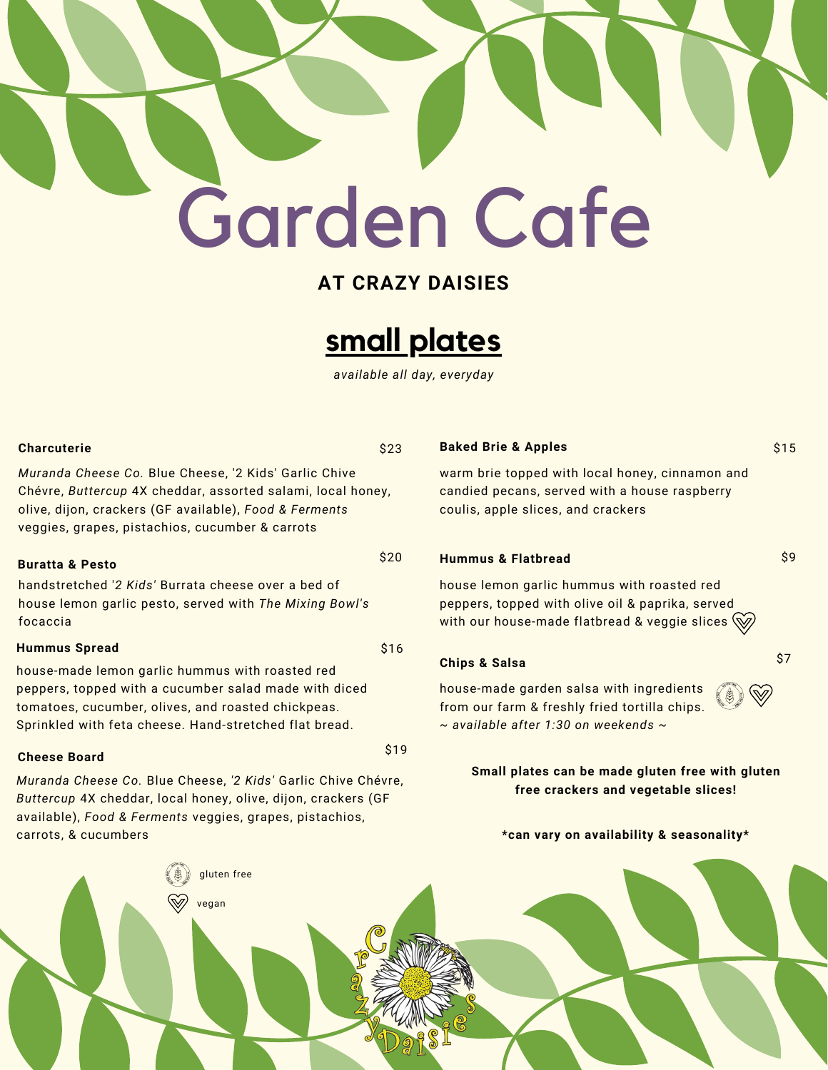# Garden Cafe

### **AT CRAZY DAISIES**



*available all day, everyday*

 $$20$ 

\$19

#### **Charcuterie** \$23

*Muranda Cheese Co.* Blue Cheese, '2 Kids' Garlic Chive Chévre, *Buttercup* 4X cheddar, assorted salami, local honey, olive, dijon, crackers (GF available), *Food & Ferments* veggies, grapes, pistachios, cucumber & carrots

#### **Buratta & Pesto**

handstretched '*2 Kids'* Burrata cheese over a bed of house lemon garlic pesto, served with *The Mixing Bowl's* focaccia

#### **Hummus Spread** \$16

house-made lemon garlic hummus with roasted red peppers, topped with a cucumber salad made with diced tomatoes, cucumber, olives, and roasted chickpeas. Sprinkled with feta cheese. Hand-stretched flat bread.

#### **Cheese Board**

*Muranda Cheese Co.* Blue Cheese, *'2 Kids'* Garlic Chive Chévre, *Buttercup* 4X cheddar, local honey, olive, dijon, crackers (GF available), *Food & Ferments* veggies, grapes, pistachios, carrots, & cucumbers

#### **Baked Brie & Apples** \$15

warm brie topped with local honey, cinnamon and candied pecans, served with a house raspberry coulis, apple slices, and crackers

#### **Hummus & Flatbread** \$9

 $\mathbb{W}$ 

house lemon garlic hummus with roasted red peppers, topped with olive oil & paprika, served with our house-made flatbread & veggie slices  $\mathbb{W}$ 

#### **Chips & Salsa** \$7

house-made garden salsa with ingredients from our farm & freshly fried tortilla chips. *~ available after 1:30 on weekends ~*

#### **Small plates can be made gluten free with gluten free crackers and vegetable slices!**

**\*can vary on availability & seasonality\***

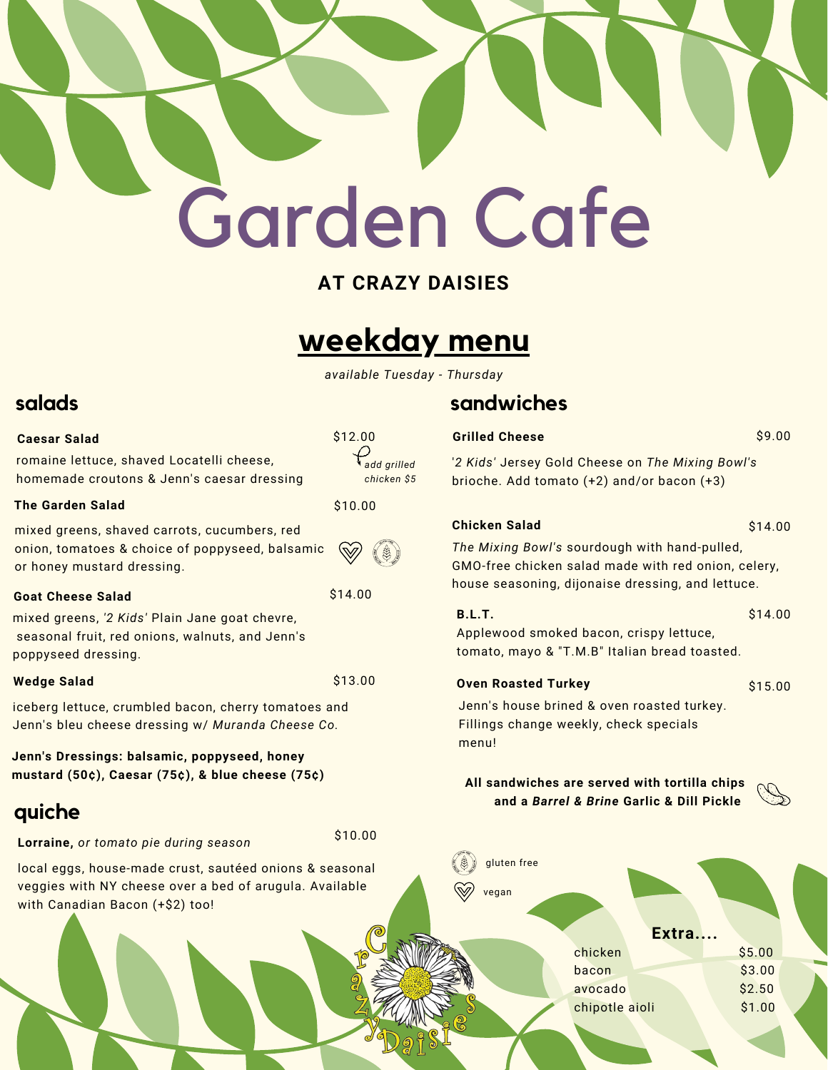# Garden Cafe

## **AT CRAZY DAISIES**

## **weekday menu**

*available Tuesday - Thursday*

*add grilled chicken \$5*

\$10.00

## **salads sandwiches**

**Grilled Cheese** \$9.00

'*2 Kids'* Jersey Gold Cheese on *The Mixing Bowl's* brioche. Add tomato (+2) and/or bacon (+3)

#### **Chicken Salad** \$14.00

*The Mixing Bowl's* sourdough with hand-pulled, GMO-free chicken salad made with red onion, celery, house seasoning, dijonaise dressing, and lettuce.

Applewood smoked bacon, crispy lettuce, tomato, mayo & "T.M.B" Italian bread toasted. **B.L.T.** \$14.00

#### **Oven Roasted Turkey \$15.000**

Jenn's house brined & oven roasted turkey. Fillings change weekly, check specials menu!

**All sandwiches are served with tortilla chips and a** *Barrel & Brine* **Garlic & Dill Pickle**





#### **Caesar Salad** \$12.00

romaine lettuce, shaved Locatelli cheese, homemade croutons & Jenn's caesar dressing

#### **The Garden Salad** \$10.00

mixed greens, shaved carrots, cucumbers, red onion, tomatoes & choice of poppyseed, balsamic or honey mustard dressing.

#### **Goat Cheese Salad** \$14.00

mixed greens, *'2 Kids'* Plain Jane goat chevre, seasonal fruit, red onions, walnuts, and Jenn's poppyseed dressing.

#### **Wedge Salad** \$13.00

iceberg lettuce, crumbled bacon, cherry tomatoes and Jenn's bleu cheese dressing w/ *Muranda Cheese Co.*

**Jenn's Dressings: balsamic, poppyseed, honey mustard (50¢), Caesar (75¢), & blue cheese (75¢)**

## **quiche**

**Lorraine,** *or tomato pie during season*

local eggs, house-made crust, sautéed onions & seasonal veggies with NY cheese over a bed of arugula. Available with Canadian Bacon (+\$2) too!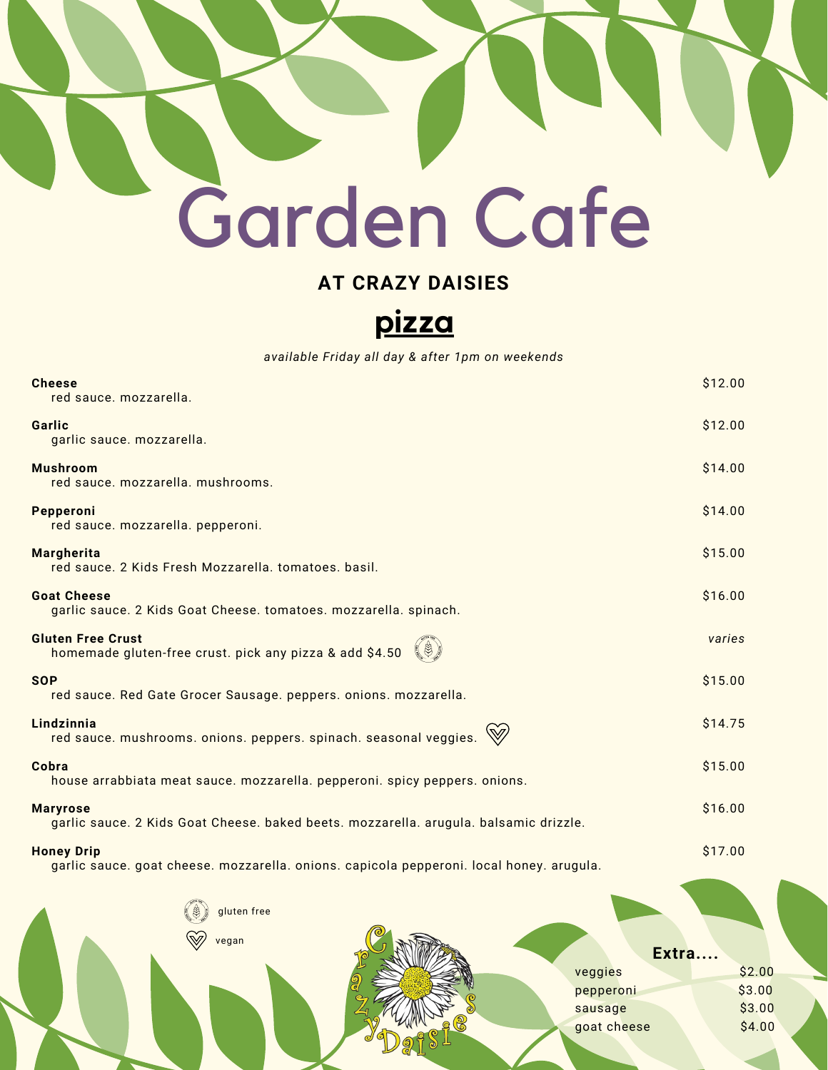## Garden Cafe

## **AT CRAZY DAISIES**

**pizza**

*available Friday all day & after 1pm on weekends*

| <b>Cheese</b><br>red sauce, mozzarella.                                                                       | \$12.00 |
|---------------------------------------------------------------------------------------------------------------|---------|
| Garlic<br>garlic sauce. mozzarella.                                                                           | \$12.00 |
| <b>Mushroom</b><br>red sauce. mozzarella. mushrooms.                                                          | \$14.00 |
| Pepperoni<br>red sauce. mozzarella. pepperoni.                                                                | \$14.00 |
| <b>Margherita</b><br>red sauce. 2 Kids Fresh Mozzarella. tomatoes. basil.                                     | \$15.00 |
| <b>Goat Cheese</b><br>garlic sauce. 2 Kids Goat Cheese. tomatoes. mozzarella. spinach.                        | \$16.00 |
| <b>Gluten Free Crust</b><br>homemade gluten-free crust. pick any pizza & add \$4.50                           | varies  |
| <b>SOP</b><br>red sauce. Red Gate Grocer Sausage. peppers. onions. mozzarella.                                | \$15.00 |
| Lindzinnia<br>red sauce. mushrooms. onions. peppers. spinach. seasonal veggies.                               | \$14.75 |
| Cobra<br>house arrabbiata meat sauce. mozzarella. pepperoni. spicy peppers. onions.                           | \$15.00 |
| <b>Maryrose</b><br>garlic sauce. 2 Kids Goat Cheese. baked beets. mozzarella. arugula. balsamic drizzle.      | \$16.00 |
| <b>Honey Drip</b><br>garlic sauce. goat cheese. mozzarella. onions. capicola pepperoni. local honey. arugula. | \$17.00 |
| gluten free                                                                                                   |         |

| W,<br>vegan | Extra       |        |
|-------------|-------------|--------|
|             | veggies     | \$2.00 |
|             | pepperoni   | \$3.00 |
|             | sausage     | \$3.00 |
|             | goat cheese | \$4.00 |
|             |             |        |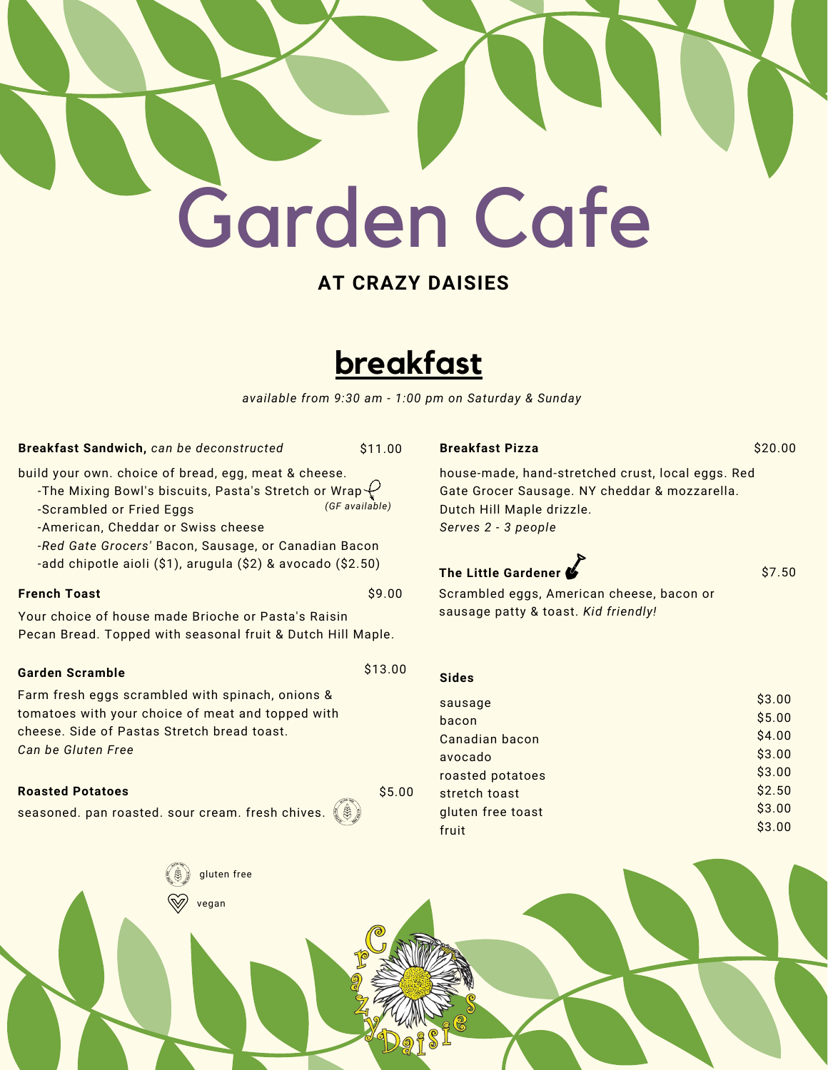## **AT CRAZY DAISIES**

## **breakfast**

*available from 9:30 am - 1:00 pm on Saturday & Sunday*

#### **Breakfast Sandwich,** *can be deconstructed* \$11.00

build your own. choice of bread, egg, meat & cheese.

- -The Mixing Bowl's biscuits, Pasta's Stretch or Wrap $\overline{\mathcal{C}}$
- -Scrambled or Fried Eggs
- -American, Cheddar or Swiss cheese

-*Red Gate Grocers'* Bacon, Sausage, or Canadian Bacon -add chipotle aioli (\$1), arugula (\$2) & avocado (\$2.50)

#### **French Toast**  $\frac{1}{2}$  **S9.00**

Your choice of house made Brioche or Pasta's Raisin Pecan Bread. Topped with seasonal fruit & Dutch Hill Maple.

### **Garden Scramble** \$13.00

Farm fresh eggs scrambled with spinach, onions & tomatoes with your choice of meat and topped with cheese. Side of Pastas Stretch bread toast. *Can be Gluten Free*

#### **Roasted Potatoes** \$5.00

seasoned. pan roasted. sour cream. fresh chives.  $\left(\!\! \left[ \mathcal{S}\right]\!\! \right)$ 

#### **Breakfast Pizza** \$20.00

house-made, hand-stretched crust, local eggs. Red Gate Grocer Sausage. NY cheddar & mozzarella. Dutch Hill Maple drizzle. *Serves 2 - 3 people*

### **The Little Gardener \$7.50**

Scrambled eggs, American cheese, bacon or sausage patty & toast. *Kid friendly!*

| <b>Sides</b>      |        |
|-------------------|--------|
| sausage           | \$3.00 |
| bacon             | \$5.00 |
| Canadian bacon    | \$4.00 |
| avocado           | \$3.00 |
| roasted potatoes  | \$3.00 |
| stretch toast     | \$2.50 |
| gluten free toast | \$3.00 |
| fruit             | \$3.00 |
|                   |        |





*(GF available)*